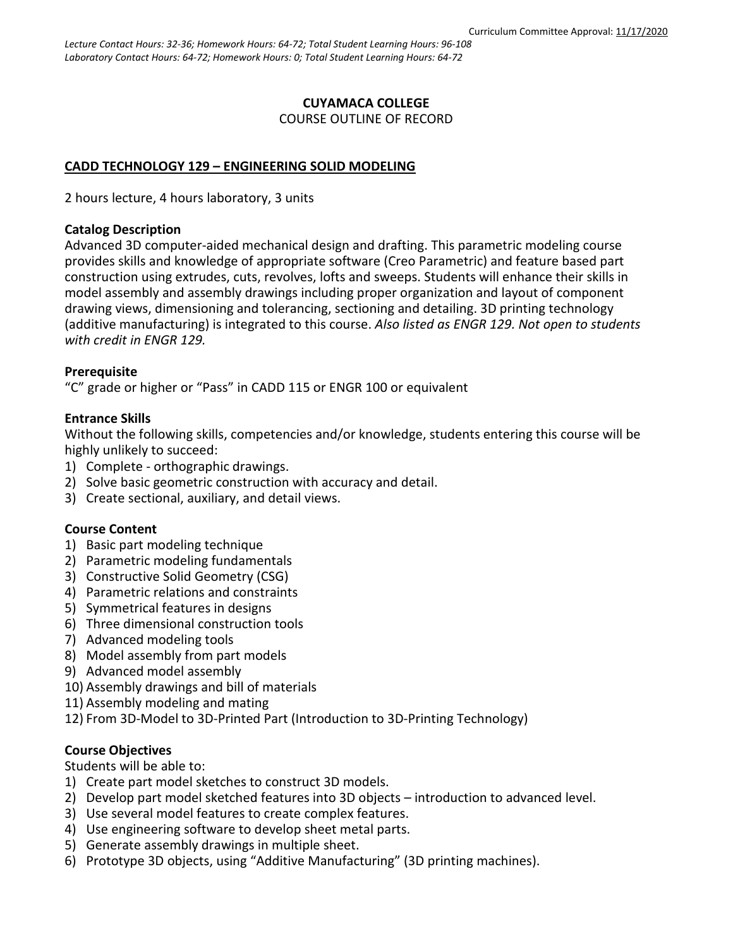### **CUYAMACA COLLEGE** COURSE OUTLINE OF RECORD

# **CADD TECHNOLOGY 129 – ENGINEERING SOLID MODELING**

2 hours lecture, 4 hours laboratory, 3 units

### **Catalog Description**

Advanced 3D computer-aided mechanical design and drafting. This parametric modeling course provides skills and knowledge of appropriate software (Creo Parametric) and feature based part construction using extrudes, cuts, revolves, lofts and sweeps. Students will enhance their skills in model assembly and assembly drawings including proper organization and layout of component drawing views, dimensioning and tolerancing, sectioning and detailing. 3D printing technology (additive manufacturing) is integrated to this course. *Also listed as ENGR 129. Not open to students with credit in ENGR 129.*

# **Prerequisite**

"C" grade or higher or "Pass" in CADD 115 or ENGR 100 or equivalent

# **Entrance Skills**

Without the following skills, competencies and/or knowledge, students entering this course will be highly unlikely to succeed:

- 1) Complete orthographic drawings.
- 2) Solve basic geometric construction with accuracy and detail.
- 3) Create sectional, auxiliary, and detail views.

# **Course Content**

- 1) Basic part modeling technique
- 2) Parametric modeling fundamentals
- 3) Constructive Solid Geometry (CSG)
- 4) Parametric relations and constraints
- 5) Symmetrical features in designs
- 6) Three dimensional construction tools
- 7) Advanced modeling tools
- 8) Model assembly from part models
- 9) Advanced model assembly
- 10) Assembly drawings and bill of materials
- 11) Assembly modeling and mating
- 12) From 3D-Model to 3D-Printed Part (Introduction to 3D-Printing Technology)

# **Course Objectives**

Students will be able to:

- 1) Create part model sketches to construct 3D models.
- 2) Develop part model sketched features into 3D objects introduction to advanced level.
- 3) Use several model features to create complex features.
- 4) Use engineering software to develop sheet metal parts.
- 5) Generate assembly drawings in multiple sheet.
- 6) Prototype 3D objects, using "Additive Manufacturing" (3D printing machines).